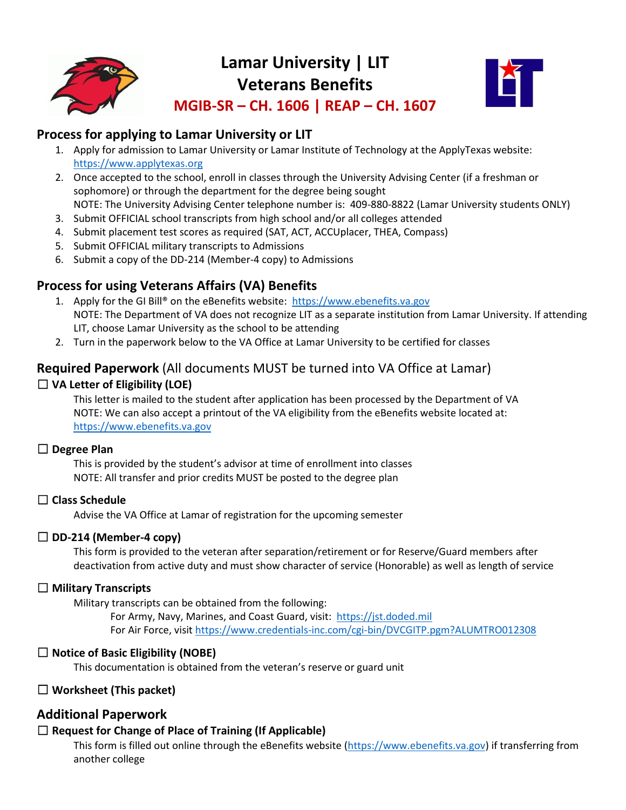

# **Lamar University | LIT Veterans Benefits MGIB-SR – CH. 1606 | REAP – CH. 1607**



**Process for applying to Lamar University or LIT**

- 1. Apply for admission to Lamar University or Lamar Institute of Technology at the ApplyTexas website: [https://www.applytexas.org](https://www.applytexas.org/)
- 2. Once accepted to the school, enroll in classes through the University Advising Center (if a freshman or sophomore) or through the department for the degree being sought NOTE: The University Advising Center telephone number is: 409-880-8822 (Lamar University students ONLY)
- 3. Submit OFFICIAL school transcripts from high school and/or all colleges attended
- 4. Submit placement test scores as required (SAT, ACT, ACCUplacer, THEA, Compass)
- 5. Submit OFFICIAL military transcripts to Admissions
- 6. Submit a copy of the DD-214 (Member-4 copy) to Admissions

### **Process for using Veterans Affairs (VA) Benefits**

- 1. Apply for the GI Bill® on the eBenefits website: [https://www.ebenefits.va.gov](https://www.ebenefits.va.gov/) NOTE: The Department of VA does not recognize LIT as a separate institution from Lamar University. If attending LIT, choose Lamar University as the school to be attending
- 2. Turn in the paperwork below to the VA Office at Lamar University to be certified for classes

### **Required Paperwork** (All documents MUST be turned into VA Office at Lamar)

### ☐ **VA Letter of Eligibility (LOE)**

This letter is mailed to the student after application has been processed by the Department of VA NOTE: We can also accept a printout of the VA eligibility from the eBenefits website located at: [https://www.ebenefits.va.gov](https://www.ebenefits.va.gov/)

#### ☐ **Degree Plan**

This is provided by the student's advisor at time of enrollment into classes NOTE: All transfer and prior credits MUST be posted to the degree plan

### ☐ **Class Schedule**

Advise the VA Office at Lamar of registration for the upcoming semester

### ☐ **DD-214 (Member-4 copy)**

This form is provided to the veteran after separation/retirement or for Reserve/Guard members after deactivation from active duty and must show character of service (Honorable) as well as length of service

#### ☐ **Military Transcripts**

Military transcripts can be obtained from the following:

For Army, Navy, Marines, and Coast Guard, visit: [https://jst.doded.mil](https://jst.doded.mil/) For Air Force, visit<https://www.credentials-inc.com/cgi-bin/DVCGITP.pgm?ALUMTRO012308>

### ☐ **Notice of Basic Eligibility (NOBE)**

This documentation is obtained from the veteran's reserve or guard unit

### ☐ **Worksheet (This packet)**

### **Additional Paperwork**

#### ☐ **Request for Change of Place of Training (If Applicable)**

This form is filled out online through the eBenefits website [\(https://www.ebenefits.va.gov\)](https://www.ebenefits.va.gov/) if transferring from another college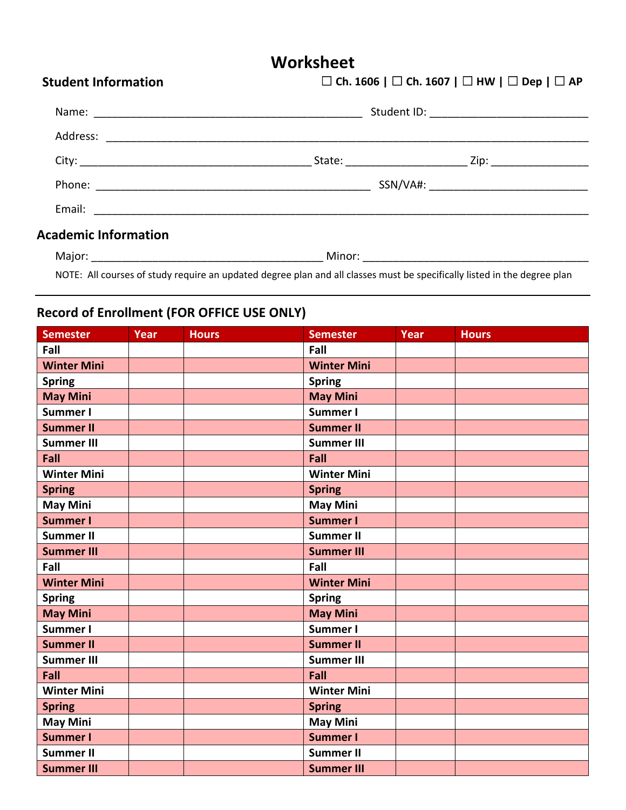## **Worksheet**

| <b>Student Information</b>  | $\Box$ Ch. 1606   $\Box$ Ch. 1607   $\Box$ HW   $\Box$ Dep   $\Box$ AP |  |  |
|-----------------------------|------------------------------------------------------------------------|--|--|
|                             |                                                                        |  |  |
|                             |                                                                        |  |  |
|                             |                                                                        |  |  |
|                             | SSN/VA#: _________________________________                             |  |  |
|                             |                                                                        |  |  |
| <b>Academic Information</b> |                                                                        |  |  |

| M |  |
|---|--|
|   |  |

NOTE: All courses of study require an updated degree plan and all classes must be specifically listed in the degree plan

## **Record of Enrollment (FOR OFFICE USE ONLY)**

| <b>Semester</b>    | Year | <b>Hours</b> | <b>Semester</b>    | Year | <b>Hours</b> |
|--------------------|------|--------------|--------------------|------|--------------|
| Fall               |      |              | Fall               |      |              |
| <b>Winter Mini</b> |      |              | <b>Winter Mini</b> |      |              |
| <b>Spring</b>      |      |              | <b>Spring</b>      |      |              |
| <b>May Mini</b>    |      |              | <b>May Mini</b>    |      |              |
| Summer I           |      |              | Summer I           |      |              |
| <b>Summer II</b>   |      |              | <b>Summer II</b>   |      |              |
| <b>Summer III</b>  |      |              | <b>Summer III</b>  |      |              |
| Fall               |      |              | Fall               |      |              |
| <b>Winter Mini</b> |      |              | <b>Winter Mini</b> |      |              |
| <b>Spring</b>      |      |              | <b>Spring</b>      |      |              |
| <b>May Mini</b>    |      |              | <b>May Mini</b>    |      |              |
| <b>Summer I</b>    |      |              | <b>Summer I</b>    |      |              |
| <b>Summer II</b>   |      |              | <b>Summer II</b>   |      |              |
| <b>Summer III</b>  |      |              | <b>Summer III</b>  |      |              |
| Fall               |      |              | Fall               |      |              |
| <b>Winter Mini</b> |      |              | <b>Winter Mini</b> |      |              |
| <b>Spring</b>      |      |              | <b>Spring</b>      |      |              |
| <b>May Mini</b>    |      |              | <b>May Mini</b>    |      |              |
| Summer I           |      |              | Summer I           |      |              |
| <b>Summer II</b>   |      |              | <b>Summer II</b>   |      |              |
| <b>Summer III</b>  |      |              | <b>Summer III</b>  |      |              |
| Fall               |      |              | Fall               |      |              |
| <b>Winter Mini</b> |      |              | <b>Winter Mini</b> |      |              |
| <b>Spring</b>      |      |              | <b>Spring</b>      |      |              |
| <b>May Mini</b>    |      |              | <b>May Mini</b>    |      |              |
| <b>Summer I</b>    |      |              | <b>Summer I</b>    |      |              |
| <b>Summer II</b>   |      |              | <b>Summer II</b>   |      |              |
| <b>Summer III</b>  |      |              | <b>Summer III</b>  |      |              |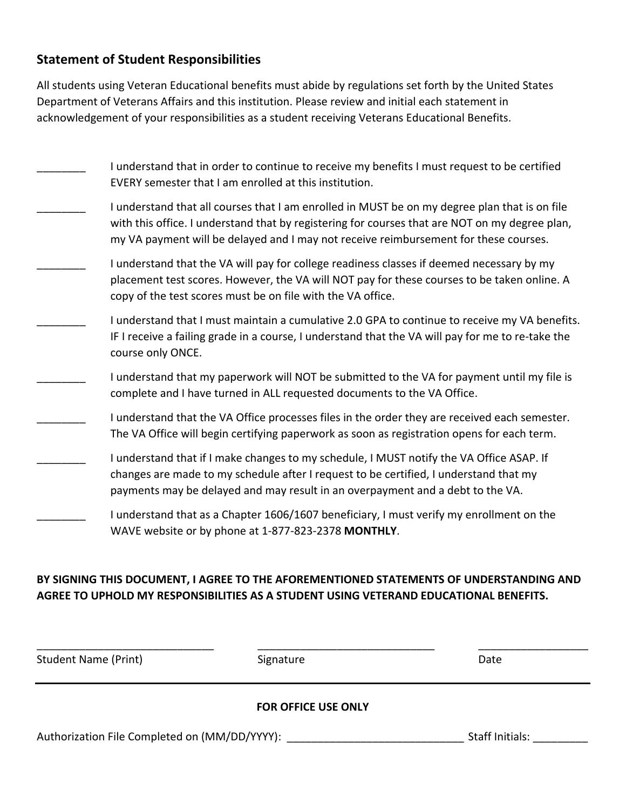#### **Statement of Student Responsibilities**

All students using Veteran Educational benefits must abide by regulations set forth by the United States Department of Veterans Affairs and this institution. Please review and initial each statement in acknowledgement of your responsibilities as a student receiving Veterans Educational Benefits.

| I understand that in order to continue to receive my benefits I must request to be certified<br>EVERY semester that I am enrolled at this institution.                                                                                                                                  |
|-----------------------------------------------------------------------------------------------------------------------------------------------------------------------------------------------------------------------------------------------------------------------------------------|
| I understand that all courses that I am enrolled in MUST be on my degree plan that is on file<br>with this office. I understand that by registering for courses that are NOT on my degree plan,<br>my VA payment will be delayed and I may not receive reimbursement for these courses. |
| I understand that the VA will pay for college readiness classes if deemed necessary by my<br>placement test scores. However, the VA will NOT pay for these courses to be taken online. A<br>copy of the test scores must be on file with the VA office.                                 |
| I understand that I must maintain a cumulative 2.0 GPA to continue to receive my VA benefits.<br>IF I receive a failing grade in a course, I understand that the VA will pay for me to re-take the<br>course only ONCE.                                                                 |
| I understand that my paperwork will NOT be submitted to the VA for payment until my file is<br>complete and I have turned in ALL requested documents to the VA Office.                                                                                                                  |
| I understand that the VA Office processes files in the order they are received each semester.<br>The VA Office will begin certifying paperwork as soon as registration opens for each term.                                                                                             |
| I understand that if I make changes to my schedule, I MUST notify the VA Office ASAP. If<br>changes are made to my schedule after I request to be certified, I understand that my<br>payments may be delayed and may result in an overpayment and a debt to the VA.                     |
| I understand that as a Chapter 1606/1607 beneficiary, I must verify my enrollment on the<br>WAVE website or by phone at 1-877-823-2378 MONTHLY.                                                                                                                                         |

#### **BY SIGNING THIS DOCUMENT, I AGREE TO THE AFOREMENTIONED STATEMENTS OF UNDERSTANDING AND AGREE TO UPHOLD MY RESPONSIBILITIES AS A STUDENT USING VETERAND EDUCATIONAL BENEFITS.**

| <b>Student Name (Print)</b>                   | Signature                  | Date            |
|-----------------------------------------------|----------------------------|-----------------|
|                                               | <b>FOR OFFICE USE ONLY</b> |                 |
| Authorization File Completed on (MM/DD/YYYY): |                            | Staff Initials: |